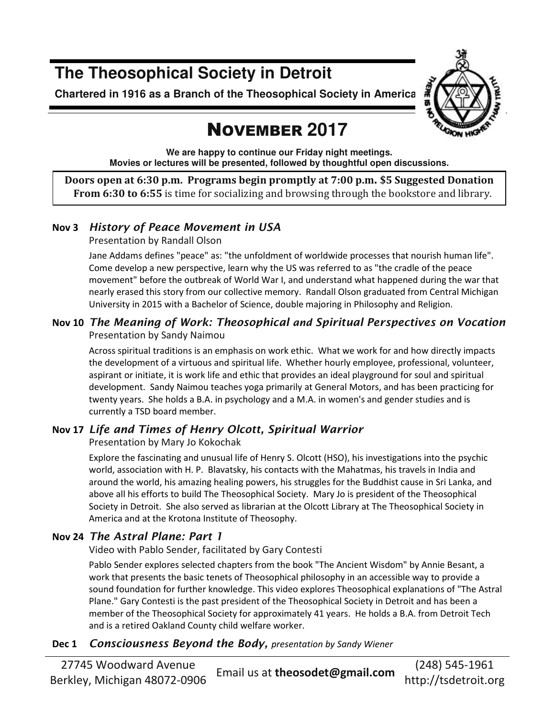## **The Theosophical Society in Detroit**

**Chartered in 1916 as a Branch of the Theosophical Society in America** 



# NOVEMBER **2017**

**We are happy to continue our Friday night meetings. Movies or lectures will be presented, followed by thoughtful open discussions.** 

**Doors open at 6:30 p.m. Programs begin promptly at 7:00 p.m. \$5 Suggested Donation From 6:30 to 6:55** is time for socializing and browsing through the bookstore and library.

### **Nov 3** *History of Peace Movement in USA*

Presentation by Randall Olson

Jane Addams defines "peace" as: "the unfoldment of worldwide processes that nourish human life". Come develop a new perspective, learn why the US was referred to as "the cradle of the peace movement" before the outbreak of World War I, and understand what happened during the war that nearly erased this story from our collective memory. Randall Olson graduated from Central Michigan University in 2015 with a Bachelor of Science, double majoring in Philosophy and Religion.

### **Nov 10** *The Meaning of Work: Theosophical and Spiritual Perspectives on Vocation* Presentation by Sandy Naimou

Across spiritual traditions is an emphasis on work ethic. What we work for and how directly impacts the development of a virtuous and spiritual life. Whether hourly employee, professional, volunteer, aspirant or initiate, it is work life and ethic that provides an ideal playground for soul and spiritual development. Sandy Naimou teaches yoga primarily at General Motors, and has been practicing for twenty years. She holds a B.A. in psychology and a M.A. in women's and gender studies and is currently a TSD board member.

### **Nov 17** *Life and Times of Henry Olcott, Spiritual Warrior*

Presentation by Mary Jo Kokochak

Explore the fascinating and unusual life of Henry S. Olcott (HSO), his investigations into the psychic world, association with H. P. Blavatsky, his contacts with the Mahatmas, his travels in India and around the world, his amazing healing powers, his struggles for the Buddhist cause in Sri Lanka, and above all his efforts to build The Theosophical Society. Mary Jo is president of the Theosophical Society in Detroit. She also served as librarian at the Olcott Library at The Theosophical Society in America and at the Krotona Institute of Theosophy.

### **Nov 24** *The Astral Plane: Part 1*

Video with Pablo Sender, facilitated by Gary Contesti

Pablo Sender explores selected chapters from the book "The Ancient Wisdom" by Annie Besant, a work that presents the basic tenets of Theosophical philosophy in an accessible way to provide a sound foundation for further knowledge. This video explores Theosophical explanations of "The Astral Plane." Gary Contesti is the past president of the Theosophical Society in Detroit and has been a member of the Theosophical Society for approximately 41 years. He holds a B.A. from Detroit Tech and is a retired Oakland County child welfare worker.

### **Dec 1** *Consciousness Beyond the Body, presentation by Sandy Wiener*